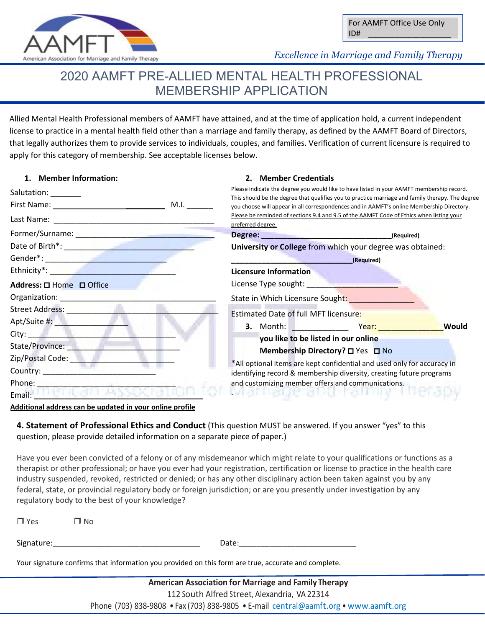

*Excellence in Marriage and Family Therapy Excellence in Marriage and Family Therapy* 

# 2020 AAMFT PRE-ALLIED MENTAL HEALTH PROFESSIONAL MEMBERSHIP APPLICATION

Allied Mental Health Professional members of AAMFT have attained, and at the time of application hold, a current independent license to practice in a mental health field other than a marriage and family therapy, as defined by the AAMFT Board of Directors, that legally authorizes them to provide services to individuals, couples, and families. Verification of current licensure is required to apply for this category of membership. See acceptable licenses below.

**2. Member Credentials**

# **1. Member Information:**

| Salutation: _______                                                                                                                                                                                                            | Please indicate the degree you would like to have listed in your AAMFT membership record.<br>This should be the degree that qualifies you to practice marriage and family therapy. The degree                                                                               |  |  |
|--------------------------------------------------------------------------------------------------------------------------------------------------------------------------------------------------------------------------------|-----------------------------------------------------------------------------------------------------------------------------------------------------------------------------------------------------------------------------------------------------------------------------|--|--|
| M.I.                                                                                                                                                                                                                           | you choose will appear in all correspondences and in AAMFT's online Membership Directory.                                                                                                                                                                                   |  |  |
|                                                                                                                                                                                                                                | Please be reminded of sections 9.4 and 9.5 of the AAMFT Code of Ethics when listing your<br>preferred degree.                                                                                                                                                               |  |  |
|                                                                                                                                                                                                                                |                                                                                                                                                                                                                                                                             |  |  |
| Date of Birth*: <b>All and Street Assets</b>                                                                                                                                                                                   | University or College from which your degree was obtained:                                                                                                                                                                                                                  |  |  |
|                                                                                                                                                                                                                                | (Required)                                                                                                                                                                                                                                                                  |  |  |
| Ethnicity*: <b>Example 2018</b>                                                                                                                                                                                                | <b>Licensure Information</b>                                                                                                                                                                                                                                                |  |  |
| Address: $\square$ Home $\square$ Office                                                                                                                                                                                       | License Type sought: National Contract of the Contract of the Contract of the Contract of the Contract of the                                                                                                                                                               |  |  |
| Organization: New York 1997                                                                                                                                                                                                    | State in Which Licensure Sought: _________________                                                                                                                                                                                                                          |  |  |
| Street Address: No. 1996                                                                                                                                                                                                       | Estimated Date of full MFT licensure:                                                                                                                                                                                                                                       |  |  |
| Apt/Suite #: New York 1000                                                                                                                                                                                                     | 3. Month: The Month of the Second State of the Second State of the Second State of the Second State of the Second State of the Second State of the Second State of the Second State of the Second State of the Second State of<br><b>Would</b><br>Year: The Magnesia Series |  |  |
| City: <b>City:</b>                                                                                                                                                                                                             | you like to be listed in our online                                                                                                                                                                                                                                         |  |  |
| State/Province:                                                                                                                                                                                                                | Membership Directory? □ Yes □ No                                                                                                                                                                                                                                            |  |  |
| Zip/Postal Code: The                                                                                                                                                                                                           | *All optional items are kept confidential and used only for accuracy in<br>identifying record & membership diversity, creating future programs                                                                                                                              |  |  |
| Country: __________________________________                                                                                                                                                                                    |                                                                                                                                                                                                                                                                             |  |  |
| Phone: The Company of the Company of the Company of the Company of the Company of the Company of the Company of the Company of the Company of the Company of the Company of the Company of the Company of the Company of the C | and customizing member offers and communications.                                                                                                                                                                                                                           |  |  |
| Email:                                                                                                                                                                                                                         | ivranteage a bot hammel menar                                                                                                                                                                                                                                               |  |  |

#### **Additional address can be updated in your online profile**

**4. Statement of Professional Ethics and Conduct** (This question MUST be answered. If you answer "yes" to this question, please provide detailed information on a separate piece of paper.)

Have you ever been convicted of a felony or of any misdemeanor which might relate to your qualifications or functions as a therapist or other professional; or have you ever had your registration, certification or license to practice in the health care industry suspended, revoked, restricted or denied; or has any other disciplinary action been taken against you by any federal, state, or provincial regulatory body or foreign jurisdiction; or are you presently under investigation by any regulatory body to the best of your knowledge?

| $\Box$ Yes                                                                                          | N T |       |  |  |  |
|-----------------------------------------------------------------------------------------------------|-----|-------|--|--|--|
| Signature:                                                                                          |     | Date: |  |  |  |
| Your signature confirms that information you provided on this form are true, accurate and complete. |     |       |  |  |  |